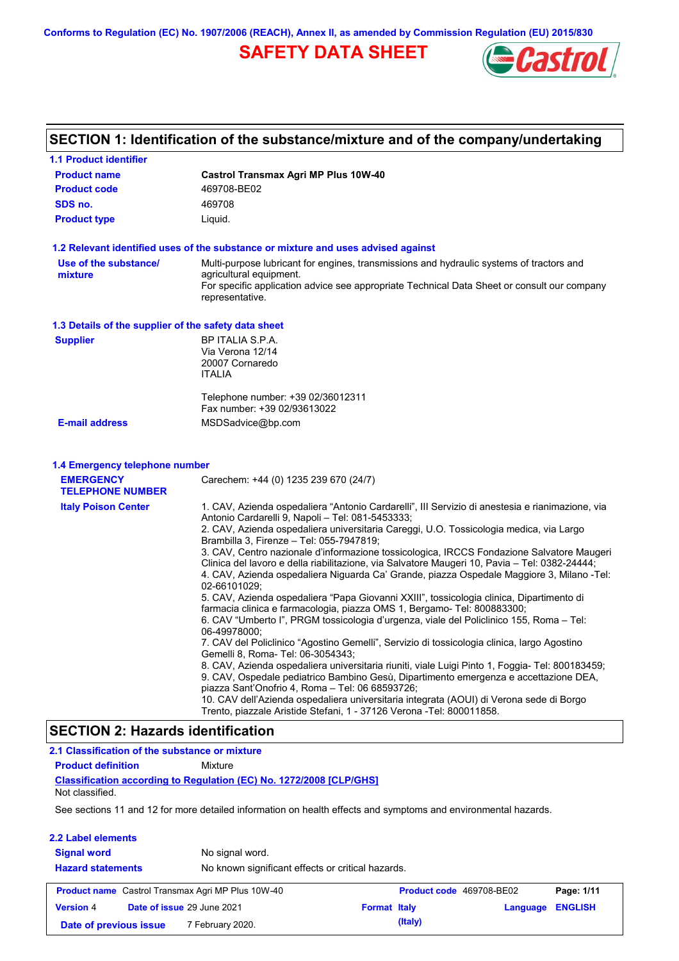**Conforms to Regulation (EC) No. 1907/2006 (REACH), Annex II, as amended by Commission Regulation (EU) 2015/830**

# **SAFETY DATA SHEET**



# **SECTION 1: Identification of the substance/mixture and of the company/undertaking**

| <b>1.1 Product identifier</b>                        |                                                                                                                                                                                                                                                                                                                                                                                                                                                                                                                                                                                                                                                                                                                                                                                                                                                                                                                                                                                                                                                                                                                                                                                                                                                                                                                                                                                                                                              |
|------------------------------------------------------|----------------------------------------------------------------------------------------------------------------------------------------------------------------------------------------------------------------------------------------------------------------------------------------------------------------------------------------------------------------------------------------------------------------------------------------------------------------------------------------------------------------------------------------------------------------------------------------------------------------------------------------------------------------------------------------------------------------------------------------------------------------------------------------------------------------------------------------------------------------------------------------------------------------------------------------------------------------------------------------------------------------------------------------------------------------------------------------------------------------------------------------------------------------------------------------------------------------------------------------------------------------------------------------------------------------------------------------------------------------------------------------------------------------------------------------------|
| <b>Product name</b>                                  | Castrol Transmax Agri MP Plus 10W-40                                                                                                                                                                                                                                                                                                                                                                                                                                                                                                                                                                                                                                                                                                                                                                                                                                                                                                                                                                                                                                                                                                                                                                                                                                                                                                                                                                                                         |
| <b>Product code</b>                                  | 469708-BE02                                                                                                                                                                                                                                                                                                                                                                                                                                                                                                                                                                                                                                                                                                                                                                                                                                                                                                                                                                                                                                                                                                                                                                                                                                                                                                                                                                                                                                  |
| SDS no.                                              | 469708                                                                                                                                                                                                                                                                                                                                                                                                                                                                                                                                                                                                                                                                                                                                                                                                                                                                                                                                                                                                                                                                                                                                                                                                                                                                                                                                                                                                                                       |
| <b>Product type</b>                                  | Liquid.                                                                                                                                                                                                                                                                                                                                                                                                                                                                                                                                                                                                                                                                                                                                                                                                                                                                                                                                                                                                                                                                                                                                                                                                                                                                                                                                                                                                                                      |
|                                                      | 1.2 Relevant identified uses of the substance or mixture and uses advised against                                                                                                                                                                                                                                                                                                                                                                                                                                                                                                                                                                                                                                                                                                                                                                                                                                                                                                                                                                                                                                                                                                                                                                                                                                                                                                                                                            |
| Use of the substance/<br>mixture                     | Multi-purpose lubricant for engines, transmissions and hydraulic systems of tractors and<br>agricultural equipment.<br>For specific application advice see appropriate Technical Data Sheet or consult our company<br>representative.                                                                                                                                                                                                                                                                                                                                                                                                                                                                                                                                                                                                                                                                                                                                                                                                                                                                                                                                                                                                                                                                                                                                                                                                        |
| 1.3 Details of the supplier of the safety data sheet |                                                                                                                                                                                                                                                                                                                                                                                                                                                                                                                                                                                                                                                                                                                                                                                                                                                                                                                                                                                                                                                                                                                                                                                                                                                                                                                                                                                                                                              |
| <b>Supplier</b>                                      | BP ITALIA S.P.A.<br>Via Verona 12/14<br>20007 Cornaredo<br><b>ITALIA</b>                                                                                                                                                                                                                                                                                                                                                                                                                                                                                                                                                                                                                                                                                                                                                                                                                                                                                                                                                                                                                                                                                                                                                                                                                                                                                                                                                                     |
|                                                      | Telephone number: +39 02/36012311<br>Fax number: +39 02/93613022                                                                                                                                                                                                                                                                                                                                                                                                                                                                                                                                                                                                                                                                                                                                                                                                                                                                                                                                                                                                                                                                                                                                                                                                                                                                                                                                                                             |
| <b>E-mail address</b>                                | MSDSadvice@bp.com                                                                                                                                                                                                                                                                                                                                                                                                                                                                                                                                                                                                                                                                                                                                                                                                                                                                                                                                                                                                                                                                                                                                                                                                                                                                                                                                                                                                                            |
| 1.4 Emergency telephone number                       |                                                                                                                                                                                                                                                                                                                                                                                                                                                                                                                                                                                                                                                                                                                                                                                                                                                                                                                                                                                                                                                                                                                                                                                                                                                                                                                                                                                                                                              |
| <b>EMERGENCY</b><br><b>TELEPHONE NUMBER</b>          | Carechem: +44 (0) 1235 239 670 (24/7)                                                                                                                                                                                                                                                                                                                                                                                                                                                                                                                                                                                                                                                                                                                                                                                                                                                                                                                                                                                                                                                                                                                                                                                                                                                                                                                                                                                                        |
| <b>Italy Poison Center</b>                           | 1. CAV, Azienda ospedaliera "Antonio Cardarelli", III Servizio di anestesia e rianimazione, via<br>Antonio Cardarelli 9, Napoli - Tel: 081-5453333;<br>2. CAV, Azienda ospedaliera universitaria Careggi, U.O. Tossicologia medica, via Largo<br>Brambilla 3, Firenze - Tel: 055-7947819;<br>3. CAV, Centro nazionale d'informazione tossicologica, IRCCS Fondazione Salvatore Maugeri<br>Clinica del lavoro e della riabilitazione, via Salvatore Maugeri 10, Pavia – Tel: 0382-24444;<br>4. CAV, Azienda ospedaliera Niguarda Ca' Grande, piazza Ospedale Maggiore 3, Milano -Tel:<br>02-66101029;<br>5. CAV, Azienda ospedaliera "Papa Giovanni XXIII", tossicologia clinica, Dipartimento di<br>farmacia clinica e farmacologia, piazza OMS 1, Bergamo- Tel: 800883300;<br>6. CAV "Umberto I", PRGM tossicologia d'urgenza, viale del Policlinico 155, Roma - Tel:<br>06-49978000;<br>7. CAV del Policlinico "Agostino Gemelli", Servizio di tossicologia clinica, largo Agostino<br>Gemelli 8, Roma- Tel: 06-3054343;<br>8. CAV, Azienda ospedaliera universitaria riuniti, viale Luigi Pinto 1, Foggia- Tel: 800183459;<br>9. CAV, Ospedale pediatrico Bambino Gesù, Dipartimento emergenza e accettazione DEA,<br>piazza Sant'Onofrio 4, Roma - Tel: 06 68593726;<br>10. CAV dell'Azienda ospedaliera universitaria integrata (AOUI) di Verona sede di Borgo<br>Trento, piazzale Aristide Stefani, 1 - 37126 Verona - Tel: 800011858. |
| <b>SECTION 2: Hazards identification</b>             |                                                                                                                                                                                                                                                                                                                                                                                                                                                                                                                                                                                                                                                                                                                                                                                                                                                                                                                                                                                                                                                                                                                                                                                                                                                                                                                                                                                                                                              |

# **Classification according to Regulation (EC) No. 1272/2008 [CLP/GHS] 2.1 Classification of the substance or mixture Product definition** Mixture Not classified.

See sections 11 and 12 for more detailed information on health effects and symptoms and environmental hazards.

#### **2.2 Label elements**

| <b>Signal word</b><br><b>Hazard statements</b> | No signal word.<br>No known significant effects or critical hazards. |                     |                          |                         |            |
|------------------------------------------------|----------------------------------------------------------------------|---------------------|--------------------------|-------------------------|------------|
|                                                | <b>Product name</b> Castrol Transmax Agri MP Plus 10W-40             |                     | Product code 469708-BE02 |                         | Page: 1/11 |
| <b>Version 4</b>                               | Date of issue 29 June 2021                                           | <b>Format Italy</b> |                          | <b>Language ENGLISH</b> |            |
| Date of previous issue                         | 7 February 2020.                                                     |                     | (Italy)                  |                         |            |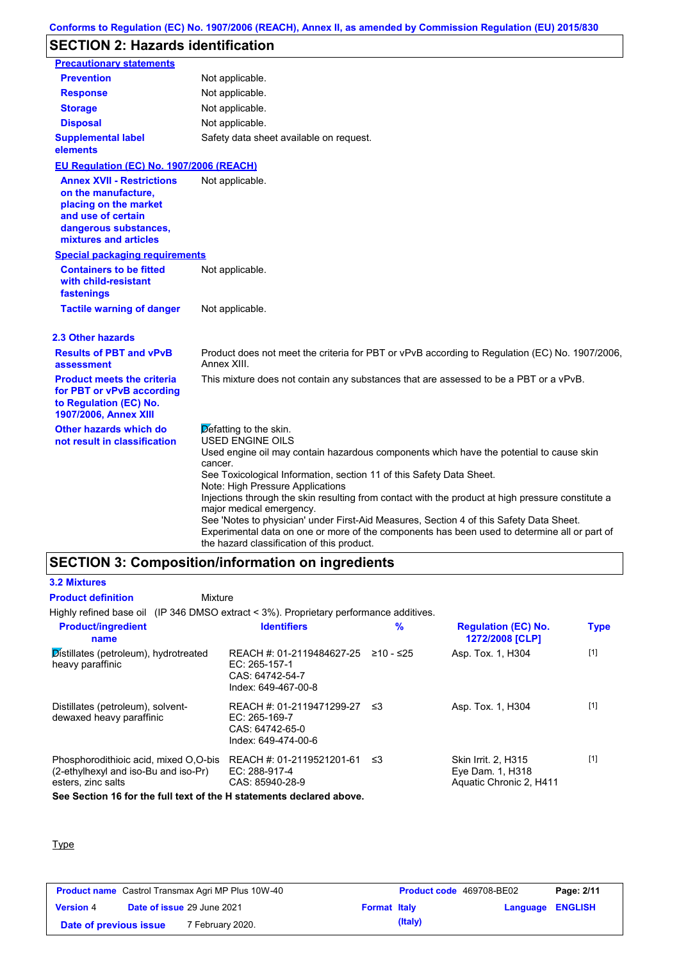# **SECTION 2: Hazards identification**

| <b>Precautionary statements</b>                                                                                                                          |                                                                                                                                                                                                                                       |
|----------------------------------------------------------------------------------------------------------------------------------------------------------|---------------------------------------------------------------------------------------------------------------------------------------------------------------------------------------------------------------------------------------|
| <b>Prevention</b>                                                                                                                                        | Not applicable.                                                                                                                                                                                                                       |
| <b>Response</b>                                                                                                                                          | Not applicable.                                                                                                                                                                                                                       |
| <b>Storage</b>                                                                                                                                           | Not applicable.                                                                                                                                                                                                                       |
| <b>Disposal</b>                                                                                                                                          | Not applicable.                                                                                                                                                                                                                       |
| <b>Supplemental label</b><br>elements                                                                                                                    | Safety data sheet available on request.                                                                                                                                                                                               |
| EU Regulation (EC) No. 1907/2006 (REACH)                                                                                                                 |                                                                                                                                                                                                                                       |
| <b>Annex XVII - Restrictions</b><br>on the manufacture,<br>placing on the market<br>and use of certain<br>dangerous substances,<br>mixtures and articles | Not applicable.                                                                                                                                                                                                                       |
| <b>Special packaging requirements</b>                                                                                                                    |                                                                                                                                                                                                                                       |
| <b>Containers to be fitted</b><br>with child-resistant<br>fastenings                                                                                     | Not applicable.                                                                                                                                                                                                                       |
| <b>Tactile warning of danger</b>                                                                                                                         | Not applicable.                                                                                                                                                                                                                       |
| 2.3 Other hazards                                                                                                                                        |                                                                                                                                                                                                                                       |
| <b>Results of PBT and vPvB</b><br>assessment                                                                                                             | Product does not meet the criteria for PBT or vPvB according to Regulation (EC) No. 1907/2006,<br>Annex XIII.                                                                                                                         |
| <b>Product meets the criteria</b><br>for PBT or vPvB according<br>to Regulation (EC) No.<br>1907/2006, Annex XIII                                        | This mixture does not contain any substances that are assessed to be a PBT or a vPvB.                                                                                                                                                 |
| Other hazards which do<br>not result in classification                                                                                                   | Defatting to the skin.<br><b>USED ENGINE OILS</b>                                                                                                                                                                                     |
|                                                                                                                                                          | Used engine oil may contain hazardous components which have the potential to cause skin                                                                                                                                               |
|                                                                                                                                                          | cancer.<br>See Toxicological Information, section 11 of this Safety Data Sheet.<br>Note: High Pressure Applications                                                                                                                   |
|                                                                                                                                                          | Injections through the skin resulting from contact with the product at high pressure constitute a<br>major medical emergency.                                                                                                         |
|                                                                                                                                                          | See 'Notes to physician' under First-Aid Measures, Section 4 of this Safety Data Sheet.<br>Experimental data on one or more of the components has been used to determine all or part of<br>the hazard classification of this product. |

# **SECTION 3: Composition/information on ingredients**

#### **3.2 Mixtures Product definition**

## Mixture

Highly refined base oil (IP 346 DMSO extract < 3%). Proprietary performance additives.

| <b>Product/ingredient</b><br>name                                                                   | <b>Identifiers</b>                                                                     | $\frac{9}{6}$ | <b>Regulation (EC) No.</b><br>1272/2008 [CLP]                      | <b>Type</b> |
|-----------------------------------------------------------------------------------------------------|----------------------------------------------------------------------------------------|---------------|--------------------------------------------------------------------|-------------|
| Distillates (petroleum), hydrotreated<br>heavy paraffinic                                           | REACH #: 01-2119484627-25<br>$EC: 265-157-1$<br>CAS: 64742-54-7<br>Index: 649-467-00-8 | ≥10 - ≤25     | Asp. Tox. 1, H304                                                  | $[1]$       |
| Distillates (petroleum), solvent-<br>dewaxed heavy paraffinic                                       | REACH #: 01-2119471299-27<br>$EC: 265-169-7$<br>CAS: 64742-65-0<br>Index: 649-474-00-6 | -≤3           | Asp. Tox. 1, H304                                                  | $[1]$       |
| Phosphorodithioic acid, mixed O.O-bis<br>(2-ethylhexyl and iso-Bu and iso-Pr)<br>esters, zinc salts | REACH #: 01-2119521201-61<br>$EC: 288-917-4$<br>CAS: 85940-28-9                        | ב≥            | Skin Irrit. 2, H315<br>Eye Dam. 1, H318<br>Aquatic Chronic 2, H411 | $[1]$       |
| See Section 16 for the full text of the H statements declared above.                                |                                                                                        |               |                                                                    |             |

#### **Type**

| <b>Product name</b> Castrol Transmax Agri MP Plus 10W-40 |                                   |                     | Product code 469708-BE02 |                         | Page: 2/11 |
|----------------------------------------------------------|-----------------------------------|---------------------|--------------------------|-------------------------|------------|
| <b>Version 4</b>                                         | <b>Date of issue 29 June 2021</b> | <b>Format Italy</b> |                          | <b>Language ENGLISH</b> |            |
| Date of previous issue                                   |                                   | 7 February 2020.    | (Italy)                  |                         |            |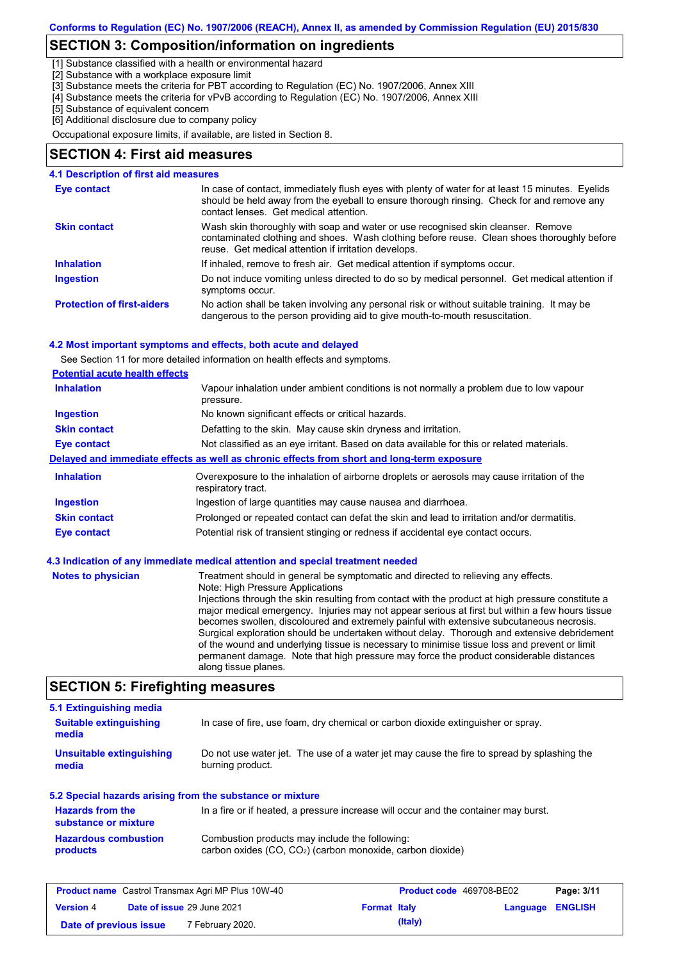# **SECTION 3: Composition/information on ingredients**

[1] Substance classified with a health or environmental hazard

[2] Substance with a workplace exposure limit

[3] Substance meets the criteria for PBT according to Regulation (EC) No. 1907/2006, Annex XIII

[4] Substance meets the criteria for vPvB according to Regulation (EC) No. 1907/2006, Annex XIII

[5] Substance of equivalent concern

[6] Additional disclosure due to company policy

Occupational exposure limits, if available, are listed in Section 8.

## **SECTION 4: First aid measures**

| 4.1 Description of first aid measures |                                                                                                                                                                                                                                         |
|---------------------------------------|-----------------------------------------------------------------------------------------------------------------------------------------------------------------------------------------------------------------------------------------|
| Eye contact                           | In case of contact, immediately flush eyes with plenty of water for at least 15 minutes. Eyelids<br>should be held away from the eyeball to ensure thorough rinsing. Check for and remove any<br>contact lenses. Get medical attention. |
| <b>Skin contact</b>                   | Wash skin thoroughly with soap and water or use recognised skin cleanser. Remove<br>contaminated clothing and shoes. Wash clothing before reuse. Clean shoes thoroughly before<br>reuse. Get medical attention if irritation develops.  |
| <b>Inhalation</b>                     | If inhaled, remove to fresh air. Get medical attention if symptoms occur.                                                                                                                                                               |
| <b>Ingestion</b>                      | Do not induce vomiting unless directed to do so by medical personnel. Get medical attention if<br>symptoms occur.                                                                                                                       |
| <b>Protection of first-aiders</b>     | No action shall be taken involving any personal risk or without suitable training. It may be<br>dangerous to the person providing aid to give mouth-to-mouth resuscitation.                                                             |

#### **4.2 Most important symptoms and effects, both acute and delayed**

See Section 11 for more detailed information on health effects and symptoms.

| <b>Potential acute health effects</b> |                                                                                                                   |
|---------------------------------------|-------------------------------------------------------------------------------------------------------------------|
| <b>Inhalation</b>                     | Vapour inhalation under ambient conditions is not normally a problem due to low vapour<br>pressure.               |
| <b>Ingestion</b>                      | No known significant effects or critical hazards.                                                                 |
| <b>Skin contact</b>                   | Defatting to the skin. May cause skin dryness and irritation.                                                     |
| Eye contact                           | Not classified as an eye irritant. Based on data available for this or related materials.                         |
|                                       | Delayed and immediate effects as well as chronic effects from short and long-term exposure                        |
| <b>Inhalation</b>                     | Overexposure to the inhalation of airborne droplets or aerosols may cause irritation of the<br>respiratory tract. |
| <b>Ingestion</b>                      | Ingestion of large quantities may cause nausea and diarrhoea.                                                     |
|                                       | Prolonged or repeated contact can defat the skin and lead to irritation and/or dermatitis.                        |
| <b>Skin contact</b>                   |                                                                                                                   |

| <b>Notes to physician</b> | Treatment should in general be symptomatic and directed to relieving any effects.<br>Note: High Pressure Applications<br>Injections through the skin resulting from contact with the product at high pressure constitute a<br>major medical emergency. Injuries may not appear serious at first but within a few hours tissue<br>becomes swollen, discoloured and extremely painful with extensive subcutaneous necrosis.<br>Surgical exploration should be undertaken without delay. Thorough and extensive debridement<br>of the wound and underlying tissue is necessary to minimise tissue loss and prevent or limit<br>permanent damage. Note that high pressure may force the product considerable distances<br>along tissue planes. |
|---------------------------|--------------------------------------------------------------------------------------------------------------------------------------------------------------------------------------------------------------------------------------------------------------------------------------------------------------------------------------------------------------------------------------------------------------------------------------------------------------------------------------------------------------------------------------------------------------------------------------------------------------------------------------------------------------------------------------------------------------------------------------------|
|---------------------------|--------------------------------------------------------------------------------------------------------------------------------------------------------------------------------------------------------------------------------------------------------------------------------------------------------------------------------------------------------------------------------------------------------------------------------------------------------------------------------------------------------------------------------------------------------------------------------------------------------------------------------------------------------------------------------------------------------------------------------------------|

# **SECTION 5: Firefighting measures**

| 5.1 Extinguishing media                         |                                                                                                                          |
|-------------------------------------------------|--------------------------------------------------------------------------------------------------------------------------|
| <b>Suitable extinguishing</b><br>media          | In case of fire, use foam, dry chemical or carbon dioxide extinguisher or spray.                                         |
| Unsuitable extinguishing<br>media               | Do not use water jet. The use of a water jet may cause the fire to spread by splashing the<br>burning product.           |
|                                                 | 5.2 Special hazards arising from the substance or mixture                                                                |
| <b>Hazards from the</b><br>substance or mixture | In a fire or if heated, a pressure increase will occur and the container may burst.                                      |
| <b>Hazardous combustion</b><br>products         | Combustion products may include the following:<br>carbon oxides (CO, CO <sub>2</sub> ) (carbon monoxide, carbon dioxide) |
|                                                 |                                                                                                                          |

| <b>Product name</b> Castrol Transmax Agri MP Plus 10W-40 |  |                     | <b>Product code</b> 469708-BE02 |                         | Page: 3/11 |  |
|----------------------------------------------------------|--|---------------------|---------------------------------|-------------------------|------------|--|
| <b>Date of issue 29 June 2021</b><br><b>Version 4</b>    |  | <b>Format Italy</b> |                                 | <b>Language ENGLISH</b> |            |  |
| Date of previous issue                                   |  | 7 February 2020.    |                                 | (Italy)                 |            |  |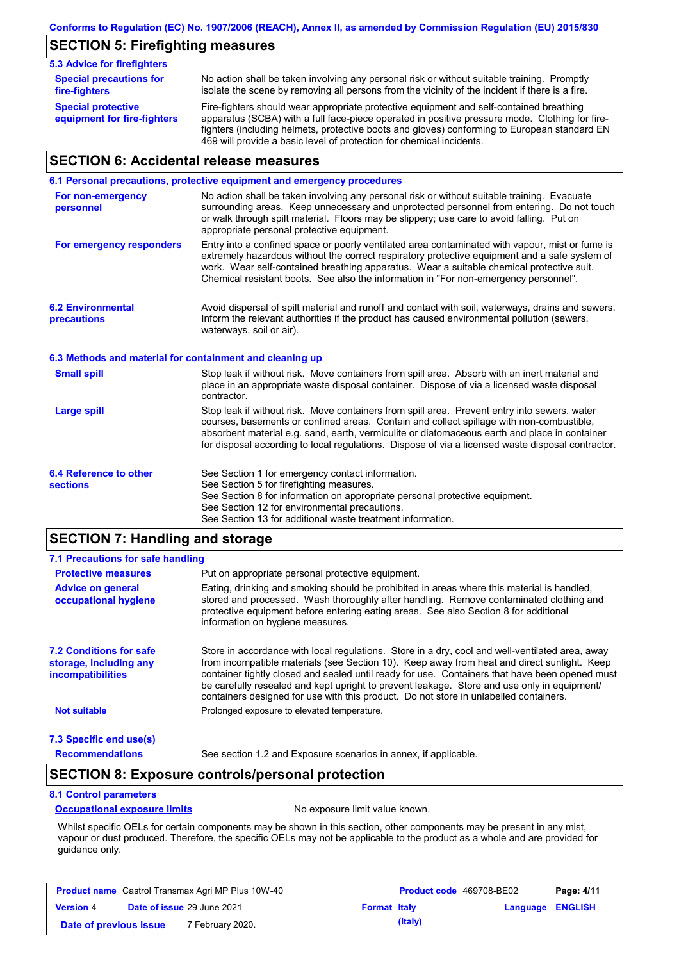# **SECTION 5: Firefighting measures**

| <b>5.3 Advice for firefighters</b>                       |                                                                                                                                                                                                                                                                                                                                                                   |
|----------------------------------------------------------|-------------------------------------------------------------------------------------------------------------------------------------------------------------------------------------------------------------------------------------------------------------------------------------------------------------------------------------------------------------------|
| <b>Special precautions for</b><br>fire-fighters          | No action shall be taken involving any personal risk or without suitable training. Promptly<br>isolate the scene by removing all persons from the vicinity of the incident if there is a fire.                                                                                                                                                                    |
| <b>Special protective</b><br>equipment for fire-fighters | Fire-fighters should wear appropriate protective equipment and self-contained breathing<br>apparatus (SCBA) with a full face-piece operated in positive pressure mode. Clothing for fire-<br>fighters (including helmets, protective boots and gloves) conforming to European standard EN<br>469 will provide a basic level of protection for chemical incidents. |

# **SECTION 6: Accidental release measures**

|                                                          | 6.1 Personal precautions, protective equipment and emergency procedures                                                                                                                                                                                                                                                                                                                        |
|----------------------------------------------------------|------------------------------------------------------------------------------------------------------------------------------------------------------------------------------------------------------------------------------------------------------------------------------------------------------------------------------------------------------------------------------------------------|
| For non-emergency<br>personnel                           | No action shall be taken involving any personal risk or without suitable training. Evacuate<br>surrounding areas. Keep unnecessary and unprotected personnel from entering. Do not touch<br>or walk through spilt material. Floors may be slippery; use care to avoid falling. Put on<br>appropriate personal protective equipment.                                                            |
| For emergency responders                                 | Entry into a confined space or poorly ventilated area contaminated with vapour, mist or fume is<br>extremely hazardous without the correct respiratory protective equipment and a safe system of<br>work. Wear self-contained breathing apparatus. Wear a suitable chemical protective suit.<br>Chemical resistant boots. See also the information in "For non-emergency personnel".           |
| <b>6.2 Environmental</b><br>precautions                  | Avoid dispersal of spilt material and runoff and contact with soil, waterways, drains and sewers.<br>Inform the relevant authorities if the product has caused environmental pollution (sewers,<br>waterways, soil or air).                                                                                                                                                                    |
| 6.3 Methods and material for containment and cleaning up |                                                                                                                                                                                                                                                                                                                                                                                                |
| <b>Small spill</b>                                       | Stop leak if without risk. Move containers from spill area. Absorb with an inert material and<br>place in an appropriate waste disposal container. Dispose of via a licensed waste disposal<br>contractor.                                                                                                                                                                                     |
| <b>Large spill</b>                                       | Stop leak if without risk. Move containers from spill area. Prevent entry into sewers, water<br>courses, basements or confined areas. Contain and collect spillage with non-combustible,<br>absorbent material e.g. sand, earth, vermiculite or diatomaceous earth and place in container<br>for disposal according to local regulations. Dispose of via a licensed waste disposal contractor. |
| 6.4 Reference to other<br><b>sections</b>                | See Section 1 for emergency contact information.<br>See Section 5 for firefighting measures.<br>See Section 8 for information on appropriate personal protective equipment.<br>See Section 12 for environmental precautions.<br>See Section 13 for additional waste treatment information.                                                                                                     |

# **SECTION 7: Handling and storage**

| 7.1 Precautions for safe handling                                                    |                                                                                                                                                                                                                                                                                                                                                                                                                                                                                          |
|--------------------------------------------------------------------------------------|------------------------------------------------------------------------------------------------------------------------------------------------------------------------------------------------------------------------------------------------------------------------------------------------------------------------------------------------------------------------------------------------------------------------------------------------------------------------------------------|
| <b>Protective measures</b>                                                           | Put on appropriate personal protective equipment.                                                                                                                                                                                                                                                                                                                                                                                                                                        |
| <b>Advice on general</b><br>occupational hygiene                                     | Eating, drinking and smoking should be prohibited in areas where this material is handled.<br>stored and processed. Wash thoroughly after handling. Remove contaminated clothing and<br>protective equipment before entering eating areas. See also Section 8 for additional<br>information on hygiene measures.                                                                                                                                                                         |
| <b>7.2 Conditions for safe</b><br>storage, including any<br><i>incompatibilities</i> | Store in accordance with local requlations. Store in a dry, cool and well-ventilated area, away<br>from incompatible materials (see Section 10). Keep away from heat and direct sunlight. Keep<br>container tightly closed and sealed until ready for use. Containers that have been opened must<br>be carefully resealed and kept upright to prevent leakage. Store and use only in equipment/<br>containers designed for use with this product. Do not store in unlabelled containers. |
| <b>Not suitable</b>                                                                  | Prolonged exposure to elevated temperature.                                                                                                                                                                                                                                                                                                                                                                                                                                              |
| 7.3 Specific end use(s)                                                              |                                                                                                                                                                                                                                                                                                                                                                                                                                                                                          |
| <b>Recommendations</b>                                                               | See section 1.2 and Exposure scenarios in annex, if applicable.                                                                                                                                                                                                                                                                                                                                                                                                                          |

## **SECTION 8: Exposure controls/personal protection**

#### **8.1 Control parameters**

#### **Occupational exposure limits** No exposure limit value known.

Whilst specific OELs for certain components may be shown in this section, other components may be present in any mist, vapour or dust produced. Therefore, the specific OELs may not be applicable to the product as a whole and are provided for guidance only.

| <b>Product name</b> Castrol Transmax Agri MP Plus 10W-40 |                                   | <b>Product code</b> 469708-BE02 |                     | Page: 4/11 |                         |  |
|----------------------------------------------------------|-----------------------------------|---------------------------------|---------------------|------------|-------------------------|--|
| <b>Version 4</b>                                         | <b>Date of issue 29 June 2021</b> |                                 | <b>Format Italy</b> |            | <b>Language ENGLISH</b> |  |
| Date of previous issue                                   |                                   | 7 February 2020.                |                     | (Italy)    |                         |  |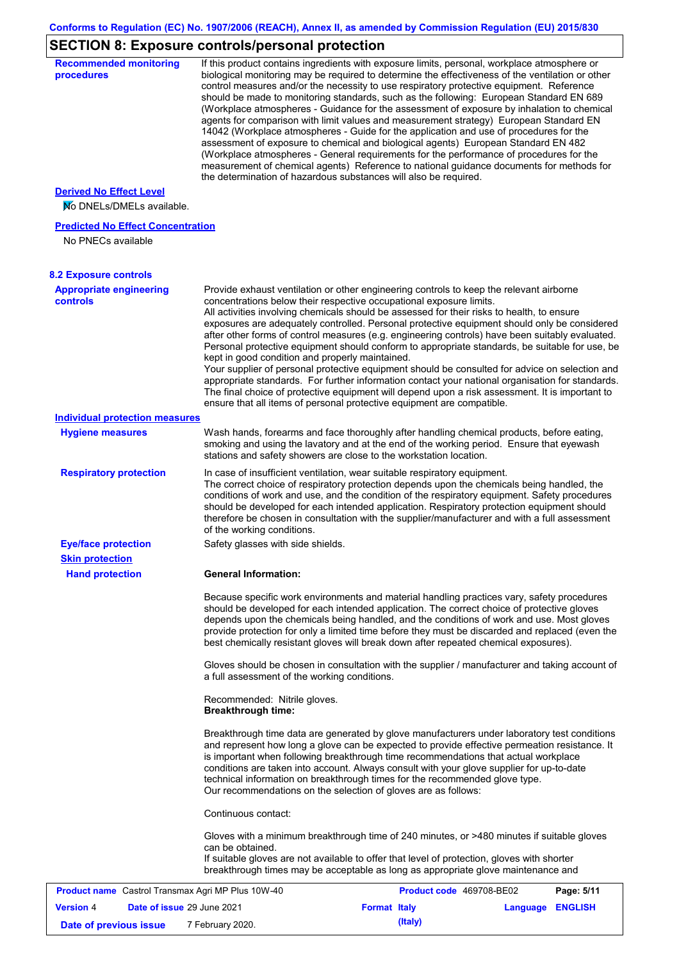# **SECTION 8: Exposure controls/personal protection**

| <b>Recommended monitoring</b><br>procedures                    |                                                           | If this product contains ingredients with exposure limits, personal, workplace atmosphere or<br>biological monitoring may be required to determine the effectiveness of the ventilation or other<br>control measures and/or the necessity to use respiratory protective equipment. Reference<br>should be made to monitoring standards, such as the following: European Standard EN 689<br>(Workplace atmospheres - Guidance for the assessment of exposure by inhalation to chemical<br>agents for comparison with limit values and measurement strategy) European Standard EN<br>14042 (Workplace atmospheres - Guide for the application and use of procedures for the<br>assessment of exposure to chemical and biological agents) European Standard EN 482<br>(Workplace atmospheres - General requirements for the performance of procedures for the<br>measurement of chemical agents) Reference to national guidance documents for methods for<br>the determination of hazardous substances will also be required. |                  |            |
|----------------------------------------------------------------|-----------------------------------------------------------|----------------------------------------------------------------------------------------------------------------------------------------------------------------------------------------------------------------------------------------------------------------------------------------------------------------------------------------------------------------------------------------------------------------------------------------------------------------------------------------------------------------------------------------------------------------------------------------------------------------------------------------------------------------------------------------------------------------------------------------------------------------------------------------------------------------------------------------------------------------------------------------------------------------------------------------------------------------------------------------------------------------------------|------------------|------------|
| <b>Derived No Effect Level</b><br>No DNELs/DMELs available.    |                                                           |                                                                                                                                                                                                                                                                                                                                                                                                                                                                                                                                                                                                                                                                                                                                                                                                                                                                                                                                                                                                                            |                  |            |
| <b>Predicted No Effect Concentration</b><br>No PNECs available |                                                           |                                                                                                                                                                                                                                                                                                                                                                                                                                                                                                                                                                                                                                                                                                                                                                                                                                                                                                                                                                                                                            |                  |            |
| <b>8.2 Exposure controls</b>                                   |                                                           |                                                                                                                                                                                                                                                                                                                                                                                                                                                                                                                                                                                                                                                                                                                                                                                                                                                                                                                                                                                                                            |                  |            |
| <b>Appropriate engineering</b><br><b>controls</b>              | kept in good condition and properly maintained.           | Provide exhaust ventilation or other engineering controls to keep the relevant airborne<br>concentrations below their respective occupational exposure limits.<br>All activities involving chemicals should be assessed for their risks to health, to ensure<br>exposures are adequately controlled. Personal protective equipment should only be considered<br>after other forms of control measures (e.g. engineering controls) have been suitably evaluated.<br>Personal protective equipment should conform to appropriate standards, be suitable for use, be<br>Your supplier of personal protective equipment should be consulted for advice on selection and<br>appropriate standards. For further information contact your national organisation for standards.<br>The final choice of protective equipment will depend upon a risk assessment. It is important to<br>ensure that all items of personal protective equipment are compatible.                                                                       |                  |            |
| <b>Individual protection measures</b>                          |                                                           |                                                                                                                                                                                                                                                                                                                                                                                                                                                                                                                                                                                                                                                                                                                                                                                                                                                                                                                                                                                                                            |                  |            |
| <b>Hygiene measures</b>                                        |                                                           | Wash hands, forearms and face thoroughly after handling chemical products, before eating,<br>smoking and using the lavatory and at the end of the working period. Ensure that eyewash<br>stations and safety showers are close to the workstation location.                                                                                                                                                                                                                                                                                                                                                                                                                                                                                                                                                                                                                                                                                                                                                                |                  |            |
| <b>Respiratory protection</b>                                  | of the working conditions.                                | In case of insufficient ventilation, wear suitable respiratory equipment.<br>The correct choice of respiratory protection depends upon the chemicals being handled, the<br>conditions of work and use, and the condition of the respiratory equipment. Safety procedures<br>should be developed for each intended application. Respiratory protection equipment should<br>therefore be chosen in consultation with the supplier/manufacturer and with a full assessment                                                                                                                                                                                                                                                                                                                                                                                                                                                                                                                                                    |                  |            |
| <b>Eye/face protection</b><br><b>Skin protection</b>           | Safety glasses with side shields.                         |                                                                                                                                                                                                                                                                                                                                                                                                                                                                                                                                                                                                                                                                                                                                                                                                                                                                                                                                                                                                                            |                  |            |
| <b>Hand protection</b>                                         | <b>General Information:</b>                               |                                                                                                                                                                                                                                                                                                                                                                                                                                                                                                                                                                                                                                                                                                                                                                                                                                                                                                                                                                                                                            |                  |            |
|                                                                |                                                           | Because specific work environments and material handling practices vary, safety procedures<br>should be developed for each intended application. The correct choice of protective gloves<br>depends upon the chemicals being handled, and the conditions of work and use. Most gloves<br>provide protection for only a limited time before they must be discarded and replaced (even the<br>best chemically resistant gloves will break down after repeated chemical exposures).                                                                                                                                                                                                                                                                                                                                                                                                                                                                                                                                           |                  |            |
|                                                                | a full assessment of the working conditions.              | Gloves should be chosen in consultation with the supplier / manufacturer and taking account of                                                                                                                                                                                                                                                                                                                                                                                                                                                                                                                                                                                                                                                                                                                                                                                                                                                                                                                             |                  |            |
|                                                                | Recommended: Nitrile gloves.<br><b>Breakthrough time:</b> |                                                                                                                                                                                                                                                                                                                                                                                                                                                                                                                                                                                                                                                                                                                                                                                                                                                                                                                                                                                                                            |                  |            |
|                                                                |                                                           | Breakthrough time data are generated by glove manufacturers under laboratory test conditions<br>and represent how long a glove can be expected to provide effective permeation resistance. It<br>is important when following breakthrough time recommendations that actual workplace<br>conditions are taken into account. Always consult with your glove supplier for up-to-date<br>technical information on breakthrough times for the recommended glove type.<br>Our recommendations on the selection of gloves are as follows:                                                                                                                                                                                                                                                                                                                                                                                                                                                                                         |                  |            |
|                                                                | Continuous contact:                                       |                                                                                                                                                                                                                                                                                                                                                                                                                                                                                                                                                                                                                                                                                                                                                                                                                                                                                                                                                                                                                            |                  |            |
|                                                                | can be obtained.                                          | Gloves with a minimum breakthrough time of 240 minutes, or >480 minutes if suitable gloves<br>If suitable gloves are not available to offer that level of protection, gloves with shorter<br>breakthrough times may be acceptable as long as appropriate glove maintenance and                                                                                                                                                                                                                                                                                                                                                                                                                                                                                                                                                                                                                                                                                                                                             |                  |            |
| <b>Product name</b> Castrol Transmax Agri MP Plus 10W-40       |                                                           | Product code 469708-BE02                                                                                                                                                                                                                                                                                                                                                                                                                                                                                                                                                                                                                                                                                                                                                                                                                                                                                                                                                                                                   |                  | Page: 5/11 |
| Date of issue 29 June 2021<br><b>Version 4</b>                 |                                                           | <b>Format Italy</b>                                                                                                                                                                                                                                                                                                                                                                                                                                                                                                                                                                                                                                                                                                                                                                                                                                                                                                                                                                                                        | Language ENGLISH |            |
| Date of previous issue                                         | 7 February 2020.                                          | (Italy)                                                                                                                                                                                                                                                                                                                                                                                                                                                                                                                                                                                                                                                                                                                                                                                                                                                                                                                                                                                                                    |                  |            |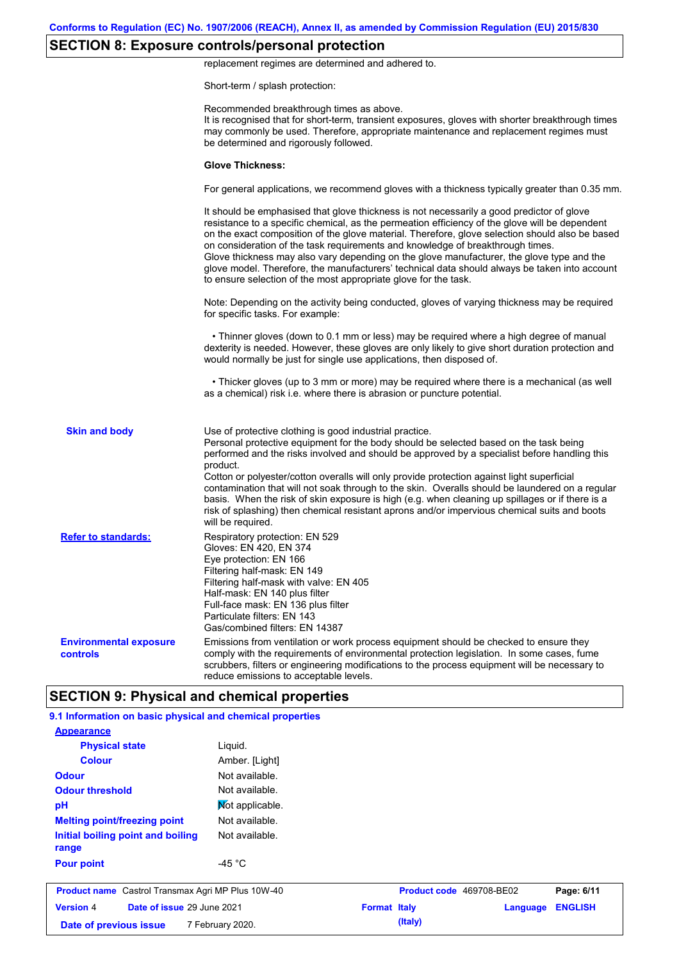# **SECTION 8: Exposure controls/personal protection**

replacement regimes are determined and adhered to.

Short-term / splash protection:

|                                           | Recommended breakthrough times as above.<br>It is recognised that for short-term, transient exposures, gloves with shorter breakthrough times<br>may commonly be used. Therefore, appropriate maintenance and replacement regimes must<br>be determined and rigorously followed.                                                                                                                                                                                                                                                                                                                                                                                                      |
|-------------------------------------------|---------------------------------------------------------------------------------------------------------------------------------------------------------------------------------------------------------------------------------------------------------------------------------------------------------------------------------------------------------------------------------------------------------------------------------------------------------------------------------------------------------------------------------------------------------------------------------------------------------------------------------------------------------------------------------------|
|                                           | <b>Glove Thickness:</b>                                                                                                                                                                                                                                                                                                                                                                                                                                                                                                                                                                                                                                                               |
|                                           | For general applications, we recommend gloves with a thickness typically greater than 0.35 mm.                                                                                                                                                                                                                                                                                                                                                                                                                                                                                                                                                                                        |
|                                           | It should be emphasised that glove thickness is not necessarily a good predictor of glove<br>resistance to a specific chemical, as the permeation efficiency of the glove will be dependent<br>on the exact composition of the glove material. Therefore, glove selection should also be based<br>on consideration of the task requirements and knowledge of breakthrough times.<br>Glove thickness may also vary depending on the glove manufacturer, the glove type and the<br>glove model. Therefore, the manufacturers' technical data should always be taken into account<br>to ensure selection of the most appropriate glove for the task.                                     |
|                                           | Note: Depending on the activity being conducted, gloves of varying thickness may be required<br>for specific tasks. For example:                                                                                                                                                                                                                                                                                                                                                                                                                                                                                                                                                      |
|                                           | • Thinner gloves (down to 0.1 mm or less) may be required where a high degree of manual<br>dexterity is needed. However, these gloves are only likely to give short duration protection and<br>would normally be just for single use applications, then disposed of.                                                                                                                                                                                                                                                                                                                                                                                                                  |
|                                           | • Thicker gloves (up to 3 mm or more) may be required where there is a mechanical (as well<br>as a chemical) risk i.e. where there is abrasion or puncture potential.                                                                                                                                                                                                                                                                                                                                                                                                                                                                                                                 |
| <b>Skin and body</b>                      | Use of protective clothing is good industrial practice.<br>Personal protective equipment for the body should be selected based on the task being<br>performed and the risks involved and should be approved by a specialist before handling this<br>product.<br>Cotton or polyester/cotton overalls will only provide protection against light superficial<br>contamination that will not soak through to the skin. Overalls should be laundered on a regular<br>basis. When the risk of skin exposure is high (e.g. when cleaning up spillages or if there is a<br>risk of splashing) then chemical resistant aprons and/or impervious chemical suits and boots<br>will be required. |
| <b>Refer to standards:</b>                | Respiratory protection: EN 529<br>Gloves: EN 420, EN 374<br>Eye protection: EN 166<br>Filtering half-mask: EN 149<br>Filtering half-mask with valve: EN 405<br>Half-mask: EN 140 plus filter<br>Full-face mask: EN 136 plus filter<br>Particulate filters: EN 143<br>Gas/combined filters: EN 14387                                                                                                                                                                                                                                                                                                                                                                                   |
| <b>Environmental exposure</b><br>controls | Emissions from ventilation or work process equipment should be checked to ensure they<br>comply with the requirements of environmental protection legislation. In some cases, fume<br>scrubbers, filters or engineering modifications to the process equipment will be necessary to<br>reduce emissions to acceptable levels.                                                                                                                                                                                                                                                                                                                                                         |
|                                           | <b>SECTION 9: Physical and chemical properties</b>                                                                                                                                                                                                                                                                                                                                                                                                                                                                                                                                                                                                                                    |

| <b>Appearance</b>                                 |                  |                     |                          |          |                |
|---------------------------------------------------|------------------|---------------------|--------------------------|----------|----------------|
| <b>Physical state</b>                             | Liquid.          |                     |                          |          |                |
| <b>Colour</b>                                     | Amber. [Light]   |                     |                          |          |                |
| <b>Odour</b>                                      | Not available.   |                     |                          |          |                |
| <b>Odour threshold</b>                            | Not available.   |                     |                          |          |                |
| pH                                                | Mot applicable.  |                     |                          |          |                |
| <b>Melting point/freezing point</b>               | Not available.   |                     |                          |          |                |
| Initial boiling point and boiling<br>range        | Not available.   |                     |                          |          |                |
| <b>Pour point</b>                                 | -45 $^{\circ}$ C |                     |                          |          |                |
| Product name Castrol Transmax Agri MP Plus 10W-40 |                  |                     | Product code 469708-BE02 |          | Page: 6/11     |
| Date of issue 29 June 2021<br><b>Version 4</b>    |                  | <b>Format Italy</b> |                          | Language | <b>ENGLISH</b> |
| 7 February 2020.<br>Date of previous issue        |                  |                     | (Italy)                  |          |                |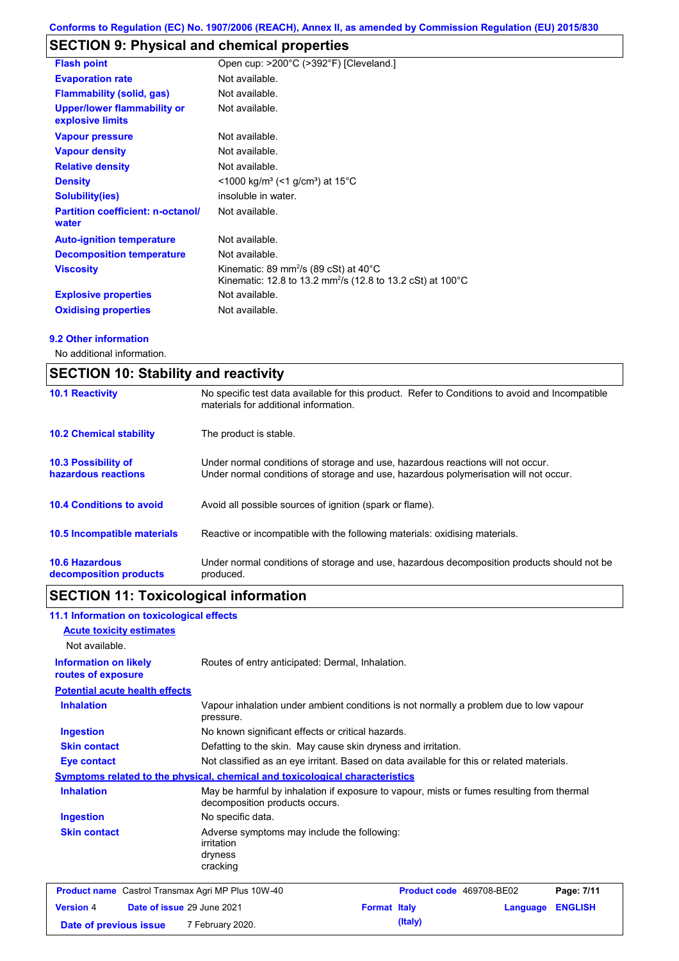# **SECTION 9: Physical and chemical properties**

| <b>Flash point</b>                                     | Open cup: >200°C (>392°F) [Cleveland.]                                                                                                  |
|--------------------------------------------------------|-----------------------------------------------------------------------------------------------------------------------------------------|
| <b>Evaporation rate</b>                                | Not available.                                                                                                                          |
| <b>Flammability (solid, gas)</b>                       | Not available.                                                                                                                          |
| <b>Upper/lower flammability or</b><br>explosive limits | Not available.                                                                                                                          |
| <b>Vapour pressure</b>                                 | Not available.                                                                                                                          |
| <b>Vapour density</b>                                  | Not available.                                                                                                                          |
| <b>Relative density</b>                                | Not available.                                                                                                                          |
| <b>Density</b>                                         | $<$ 1000 kg/m <sup>3</sup> (<1 g/cm <sup>3</sup> ) at 15 <sup>°</sup> C                                                                 |
| <b>Solubility(ies)</b>                                 | insoluble in water.                                                                                                                     |
| <b>Partition coefficient: n-octanol/</b><br>water      | Not available.                                                                                                                          |
| <b>Auto-ignition temperature</b>                       | Not available.                                                                                                                          |
| <b>Decomposition temperature</b>                       | Not available.                                                                                                                          |
| <b>Viscosity</b>                                       | Kinematic: 89 mm <sup>2</sup> /s (89 cSt) at 40 $^{\circ}$ C<br>Kinematic: 12.8 to 13.2 mm <sup>2</sup> /s (12.8 to 13.2 cSt) at 100 °C |
| <b>Explosive properties</b>                            | Not available.                                                                                                                          |
| <b>Oxidising properties</b>                            | Not available.                                                                                                                          |

#### **9.2 Other information**

No additional information.

| <b>SECTION 10: Stability and reactivity</b>       |                                                                                                                                                                         |  |  |
|---------------------------------------------------|-------------------------------------------------------------------------------------------------------------------------------------------------------------------------|--|--|
| <b>10.1 Reactivity</b>                            | No specific test data available for this product. Refer to Conditions to avoid and Incompatible<br>materials for additional information.                                |  |  |
| <b>10.2 Chemical stability</b>                    | The product is stable.                                                                                                                                                  |  |  |
| <b>10.3 Possibility of</b><br>hazardous reactions | Under normal conditions of storage and use, hazardous reactions will not occur.<br>Under normal conditions of storage and use, hazardous polymerisation will not occur. |  |  |
| <b>10.4 Conditions to avoid</b>                   | Avoid all possible sources of ignition (spark or flame).                                                                                                                |  |  |
| 10.5 Incompatible materials                       | Reactive or incompatible with the following materials: oxidising materials.                                                                                             |  |  |
| <b>10.6 Hazardous</b><br>decomposition products   | Under normal conditions of storage and use, hazardous decomposition products should not be<br>produced.                                                                 |  |  |

# **SECTION 11: Toxicological information**

| 11.1 Information on toxicological effects                |                                                                                                     |                                                                                           |                          |          |                |
|----------------------------------------------------------|-----------------------------------------------------------------------------------------------------|-------------------------------------------------------------------------------------------|--------------------------|----------|----------------|
| <b>Acute toxicity estimates</b><br>Not available.        |                                                                                                     |                                                                                           |                          |          |                |
| <b>Information on likely</b><br>routes of exposure       | Routes of entry anticipated: Dermal, Inhalation.                                                    |                                                                                           |                          |          |                |
| <b>Potential acute health effects</b>                    |                                                                                                     |                                                                                           |                          |          |                |
| <b>Inhalation</b>                                        | Vapour inhalation under ambient conditions is not normally a problem due to low vapour<br>pressure. |                                                                                           |                          |          |                |
| <b>Ingestion</b>                                         | No known significant effects or critical hazards.                                                   |                                                                                           |                          |          |                |
| <b>Skin contact</b>                                      | Defatting to the skin. May cause skin dryness and irritation.                                       |                                                                                           |                          |          |                |
| <b>Eye contact</b>                                       | Not classified as an eye irritant. Based on data available for this or related materials.           |                                                                                           |                          |          |                |
|                                                          | <b>Symptoms related to the physical, chemical and toxicological characteristics</b>                 |                                                                                           |                          |          |                |
| <b>Inhalation</b>                                        | decomposition products occurs.                                                                      | May be harmful by inhalation if exposure to vapour, mists or fumes resulting from thermal |                          |          |                |
| <b>Ingestion</b>                                         | No specific data.                                                                                   |                                                                                           |                          |          |                |
| <b>Skin contact</b>                                      | Adverse symptoms may include the following:<br>irritation<br>dryness<br>cracking                    |                                                                                           |                          |          |                |
| <b>Product name</b> Castrol Transmax Agri MP Plus 10W-40 |                                                                                                     |                                                                                           | Product code 469708-BE02 |          | Page: 7/11     |
| <b>Version 4</b>                                         | Date of issue 29 June 2021                                                                          | <b>Format Italy</b>                                                                       |                          | Language | <b>ENGLISH</b> |
| Date of previous issue                                   | 7 February 2020.                                                                                    |                                                                                           | (Italy)                  |          |                |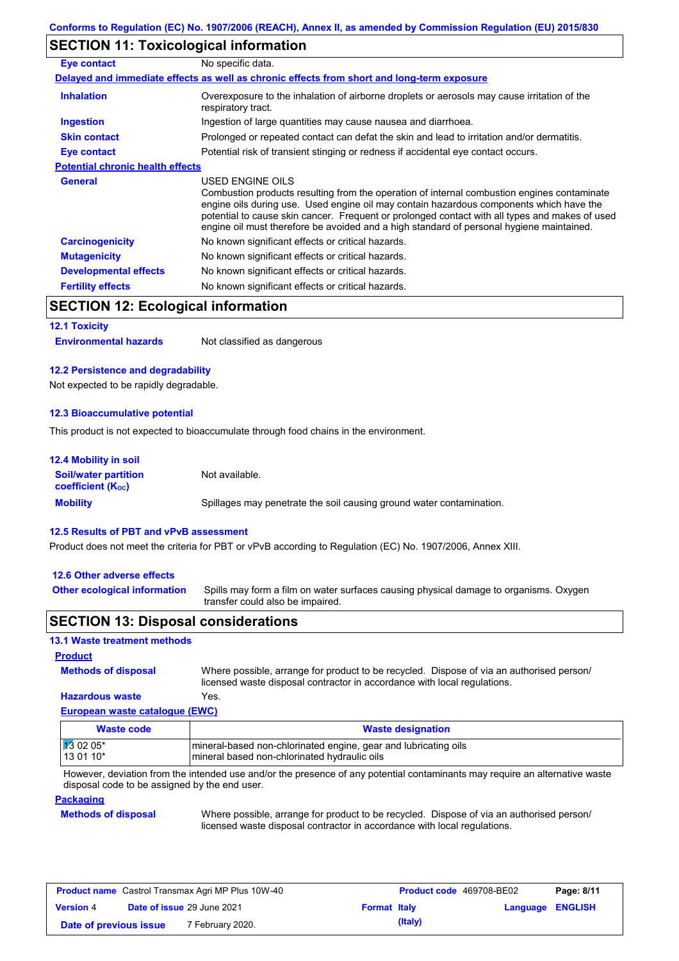## **SECTION 11: Toxicological information**

| Eye contact                             | No specific data.                                                                                                                                                                                                                                                                                                                                                                                        |
|-----------------------------------------|----------------------------------------------------------------------------------------------------------------------------------------------------------------------------------------------------------------------------------------------------------------------------------------------------------------------------------------------------------------------------------------------------------|
|                                         | Delayed and immediate effects as well as chronic effects from short and long-term exposure                                                                                                                                                                                                                                                                                                               |
| <b>Inhalation</b>                       | Overexposure to the inhalation of airborne droplets or aerosols may cause irritation of the<br>respiratory tract.                                                                                                                                                                                                                                                                                        |
| <b>Ingestion</b>                        | Ingestion of large quantities may cause nausea and diarrhoea.                                                                                                                                                                                                                                                                                                                                            |
| <b>Skin contact</b>                     | Prolonged or repeated contact can defat the skin and lead to irritation and/or dermatitis.                                                                                                                                                                                                                                                                                                               |
| Eye contact                             | Potential risk of transient stinging or redness if accidental eye contact occurs.                                                                                                                                                                                                                                                                                                                        |
| <b>Potential chronic health effects</b> |                                                                                                                                                                                                                                                                                                                                                                                                          |
| <b>General</b>                          | USED ENGINE OILS<br>Combustion products resulting from the operation of internal combustion engines contaminate<br>engine oils during use. Used engine oil may contain hazardous components which have the<br>potential to cause skin cancer. Frequent or prolonged contact with all types and makes of used<br>engine oil must therefore be avoided and a high standard of personal hygiene maintained. |
| <b>Carcinogenicity</b>                  | No known significant effects or critical hazards.                                                                                                                                                                                                                                                                                                                                                        |
| <b>Mutagenicity</b>                     | No known significant effects or critical hazards.                                                                                                                                                                                                                                                                                                                                                        |
| <b>Developmental effects</b>            | No known significant effects or critical hazards.                                                                                                                                                                                                                                                                                                                                                        |
| <b>Fertility effects</b>                | No known significant effects or critical hazards.                                                                                                                                                                                                                                                                                                                                                        |

# **SECTION 12: Ecological information**

#### **12.1 Toxicity**

**Environmental hazards** Not classified as dangerous

#### **12.2 Persistence and degradability**

Not expected to be rapidly degradable.

#### **12.3 Bioaccumulative potential**

This product is not expected to bioaccumulate through food chains in the environment.

| <b>12.4 Mobility in soil</b>                            |                                                                      |
|---------------------------------------------------------|----------------------------------------------------------------------|
| <b>Soil/water partition</b><br><b>coefficient (Koc)</b> | Not available.                                                       |
| <b>Mobility</b>                                         | Spillages may penetrate the soil causing ground water contamination. |

#### **12.5 Results of PBT and vPvB assessment**

Product does not meet the criteria for PBT or vPvB according to Regulation (EC) No. 1907/2006, Annex XIII.

#### **12.6 Other adverse effects**

**Other ecological information**

Spills may form a film on water surfaces causing physical damage to organisms. Oxygen transfer could also be impaired.

## **SECTION 13: Disposal considerations**

#### **13.1 Waste treatment methods**

**Methods of disposal**

**Product**

**Hazardous waste** Yes. Where possible, arrange for product to be recycled. Dispose of via an authorised person/ licensed waste disposal contractor in accordance with local regulations.

## **European waste catalogue (EWC)**

| Waste code                        | <b>Waste designation</b>                                        |
|-----------------------------------|-----------------------------------------------------------------|
| $\frac{1}{3}$ 02 05*<br>$130110*$ | mineral-based non-chlorinated engine, gear and lubricating oils |
|                                   | mineral based non-chlorinated hydraulic oils                    |

However, deviation from the intended use and/or the presence of any potential contaminants may require an alternative waste disposal code to be assigned by the end user.

#### **Packaging**

**Methods of disposal**

Where possible, arrange for product to be recycled. Dispose of via an authorised person/ licensed waste disposal contractor in accordance with local regulations.

| <b>Product name</b> Castrol Transmax Agri MP Plus 10W-40 |  |                             | <b>Product code</b> 469708-BE02 | Page: 8/11       |  |  |
|----------------------------------------------------------|--|-----------------------------|---------------------------------|------------------|--|--|
| <b>Date of issue 29 June 2021</b><br><b>Version 4</b>    |  | <b>Format Italy</b>         |                                 | Language ENGLISH |  |  |
| Date of previous issue                                   |  | <sup>7</sup> February 2020. |                                 | (Italy)          |  |  |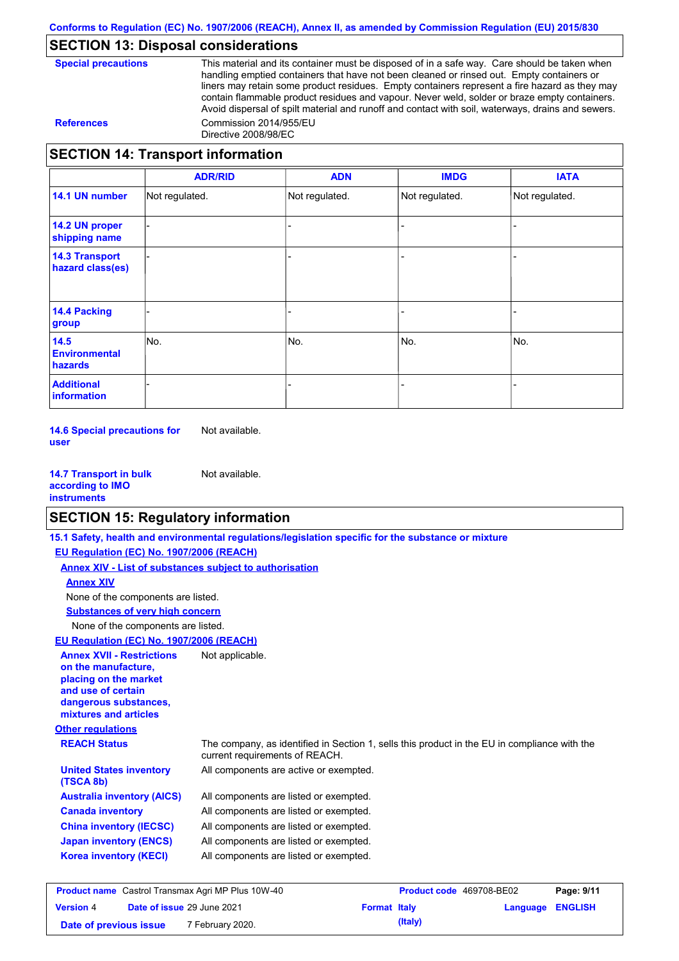# **SECTION 13: Disposal considerations**

**Special precautions** This material and its container must be disposed of in a safe way. Care should be taken when handling emptied containers that have not been cleaned or rinsed out. Empty containers or liners may retain some product residues. Empty containers represent a fire hazard as they may contain flammable product residues and vapour. Never weld, solder or braze empty containers. Avoid dispersal of spilt material and runoff and contact with soil, waterways, drains and sewers. **References** Commission 2014/955/EU Directive 2008/98/EC

## **SECTION 14: Transport information**

|                                           | <b>ADR/RID</b> | <b>ADN</b>     | <b>IMDG</b>    | <b>IATA</b>    |
|-------------------------------------------|----------------|----------------|----------------|----------------|
| 14.1 UN number                            | Not regulated. | Not regulated. | Not regulated. | Not regulated. |
| 14.2 UN proper<br>shipping name           |                |                |                |                |
| <b>14.3 Transport</b><br>hazard class(es) |                |                |                |                |
| <b>14.4 Packing</b><br>group              |                |                |                |                |
| 14.5<br><b>Environmental</b><br>hazards   | No.            | No.            | No.            | No.            |
| <b>Additional</b><br>information          |                |                |                |                |

**14.6 Special precautions for user** Not available.

**14.7 Transport in bulk according to IMO instruments** Not available.

# **SECTION 15: Regulatory information**

|                                                                                                                                                          | 15.1 Safety, health and environmental regulations/legislation specific for the substance or mixture                            |  |
|----------------------------------------------------------------------------------------------------------------------------------------------------------|--------------------------------------------------------------------------------------------------------------------------------|--|
| EU Regulation (EC) No. 1907/2006 (REACH)                                                                                                                 |                                                                                                                                |  |
| Annex XIV - List of substances subject to authorisation                                                                                                  |                                                                                                                                |  |
| <b>Annex XIV</b>                                                                                                                                         |                                                                                                                                |  |
| None of the components are listed.                                                                                                                       |                                                                                                                                |  |
| <b>Substances of very high concern</b>                                                                                                                   |                                                                                                                                |  |
| None of the components are listed.                                                                                                                       |                                                                                                                                |  |
| EU Regulation (EC) No. 1907/2006 (REACH)                                                                                                                 |                                                                                                                                |  |
| <b>Annex XVII - Restrictions</b><br>on the manufacture.<br>placing on the market<br>and use of certain<br>dangerous substances,<br>mixtures and articles | Not applicable.                                                                                                                |  |
| <b>Other regulations</b>                                                                                                                                 |                                                                                                                                |  |
| <b>REACH Status</b>                                                                                                                                      | The company, as identified in Section 1, sells this product in the EU in compliance with the<br>current requirements of REACH. |  |
| <b>United States inventory</b><br>(TSCA 8b)                                                                                                              | All components are active or exempted.                                                                                         |  |
| <b>Australia inventory (AICS)</b>                                                                                                                        | All components are listed or exempted.                                                                                         |  |
| <b>Canada inventory</b>                                                                                                                                  | All components are listed or exempted.                                                                                         |  |
| <b>China inventory (IECSC)</b>                                                                                                                           | All components are listed or exempted.                                                                                         |  |
|                                                                                                                                                          | All components are listed or exempted.                                                                                         |  |
| <b>Japan inventory (ENCS)</b>                                                                                                                            |                                                                                                                                |  |

| <b>Product name</b> Castrol Transmax Agri MP Plus 10W-40 |  |                            |                     | <b>Product code</b> 469708-BE02 | Page: 9/11       |  |
|----------------------------------------------------------|--|----------------------------|---------------------|---------------------------------|------------------|--|
| <b>Version 4</b>                                         |  | Date of issue 29 June 2021 | <b>Format Italy</b> |                                 | Language ENGLISH |  |
| Date of previous issue                                   |  | 7 February 2020.           |                     | (Italy)                         |                  |  |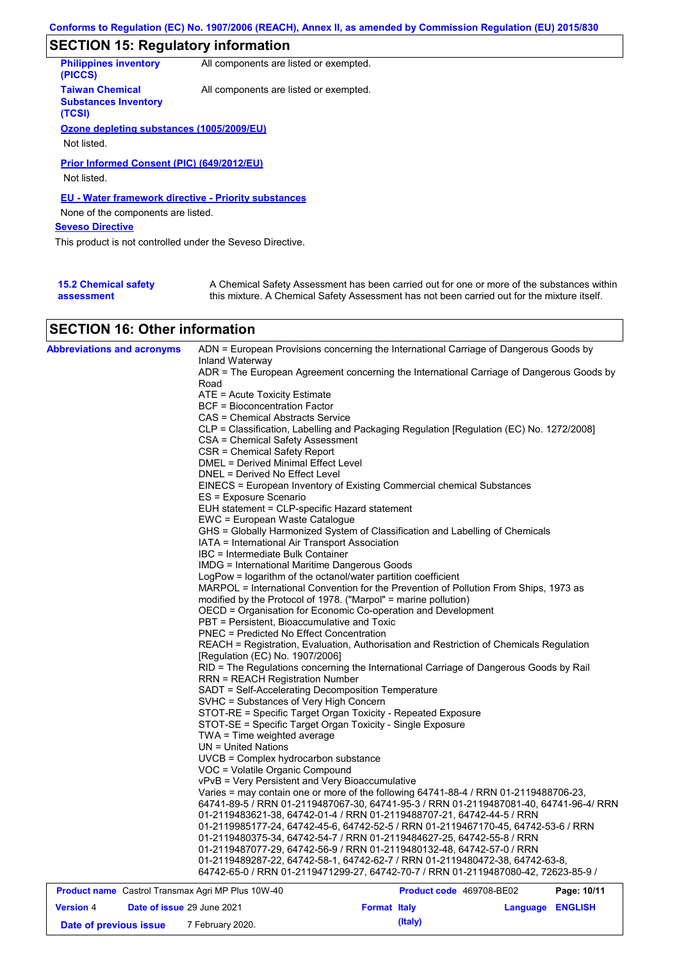# **SECTION 15: Regulatory information**

| <b>Philippines inventory</b><br>(PICCS)                         | All components are listed or exempted. |  |
|-----------------------------------------------------------------|----------------------------------------|--|
| <b>Taiwan Chemical</b><br><b>Substances Inventory</b><br>(TCSI) | All components are listed or exempted. |  |
| Ozone depleting substances (1005/2009/EU)                       |                                        |  |
| Not listed.                                                     |                                        |  |
| Prior Informed Consent (PIC) (649/2012/EU)                      |                                        |  |
|                                                                 |                                        |  |
| Not listed.                                                     |                                        |  |
| EU - Water framework directive - Priority substances            |                                        |  |
| None of the components are listed.                              |                                        |  |
| <b>Seveso Directive</b>                                         |                                        |  |
| This product is not controlled under the Seveso Directive.      |                                        |  |
|                                                                 |                                        |  |
|                                                                 |                                        |  |

| <b>15.2 Chemical safety</b> | A Chemical Safety Assessment has been carried out for one or more of the substances within  |
|-----------------------------|---------------------------------------------------------------------------------------------|
| assessment                  | this mixture. A Chemical Safety Assessment has not been carried out for the mixture itself. |

# **SECTION 16: Other information**

| <b>Abbreviations and acronyms</b>                        | ADN = European Provisions concerning the International Carriage of Dangerous Goods by                       |
|----------------------------------------------------------|-------------------------------------------------------------------------------------------------------------|
|                                                          | Inland Waterway<br>ADR = The European Agreement concerning the International Carriage of Dangerous Goods by |
|                                                          | Road                                                                                                        |
|                                                          | ATE = Acute Toxicity Estimate                                                                               |
|                                                          | <b>BCF</b> = Bioconcentration Factor                                                                        |
|                                                          | CAS = Chemical Abstracts Service                                                                            |
|                                                          | CLP = Classification, Labelling and Packaging Regulation [Regulation (EC) No. 1272/2008]                    |
|                                                          | CSA = Chemical Safety Assessment                                                                            |
|                                                          | CSR = Chemical Safety Report                                                                                |
|                                                          | DMEL = Derived Minimal Effect Level                                                                         |
|                                                          | DNEL = Derived No Effect Level                                                                              |
|                                                          | EINECS = European Inventory of Existing Commercial chemical Substances                                      |
|                                                          | ES = Exposure Scenario                                                                                      |
|                                                          | EUH statement = CLP-specific Hazard statement                                                               |
|                                                          | EWC = European Waste Catalogue                                                                              |
|                                                          | GHS = Globally Harmonized System of Classification and Labelling of Chemicals                               |
|                                                          | IATA = International Air Transport Association                                                              |
|                                                          | IBC = Intermediate Bulk Container                                                                           |
|                                                          | <b>IMDG = International Maritime Dangerous Goods</b>                                                        |
|                                                          | LogPow = logarithm of the octanol/water partition coefficient                                               |
|                                                          | MARPOL = International Convention for the Prevention of Pollution From Ships, 1973 as                       |
|                                                          | modified by the Protocol of 1978. ("Marpol" = marine pollution)                                             |
|                                                          | OECD = Organisation for Economic Co-operation and Development                                               |
|                                                          | PBT = Persistent, Bioaccumulative and Toxic                                                                 |
|                                                          | <b>PNEC = Predicted No Effect Concentration</b>                                                             |
|                                                          | REACH = Registration, Evaluation, Authorisation and Restriction of Chemicals Regulation                     |
|                                                          | [Regulation (EC) No. 1907/2006]                                                                             |
|                                                          | RID = The Regulations concerning the International Carriage of Dangerous Goods by Rail                      |
|                                                          | <b>RRN = REACH Registration Number</b>                                                                      |
|                                                          | SADT = Self-Accelerating Decomposition Temperature                                                          |
|                                                          | SVHC = Substances of Very High Concern                                                                      |
|                                                          | STOT-RE = Specific Target Organ Toxicity - Repeated Exposure                                                |
|                                                          | STOT-SE = Specific Target Organ Toxicity - Single Exposure                                                  |
|                                                          | TWA = Time weighted average                                                                                 |
|                                                          | UN = United Nations                                                                                         |
|                                                          | UVCB = Complex hydrocarbon substance                                                                        |
|                                                          | VOC = Volatile Organic Compound                                                                             |
|                                                          | vPvB = Very Persistent and Very Bioaccumulative                                                             |
|                                                          | Varies = may contain one or more of the following 64741-88-4 / RRN 01-2119488706-23,                        |
|                                                          | 64741-89-5 / RRN 01-2119487067-30, 64741-95-3 / RRN 01-2119487081-40, 64741-96-4/ RRN                       |
|                                                          | 01-2119483621-38, 64742-01-4 / RRN 01-2119488707-21, 64742-44-5 / RRN                                       |
|                                                          | 01-2119985177-24, 64742-45-6, 64742-52-5 / RRN 01-2119467170-45, 64742-53-6 / RRN                           |
|                                                          | 01-2119480375-34, 64742-54-7 / RRN 01-2119484627-25, 64742-55-8 / RRN                                       |
|                                                          | 01-2119487077-29, 64742-56-9 / RRN 01-2119480132-48, 64742-57-0 / RRN                                       |
|                                                          | 01-2119489287-22, 64742-58-1, 64742-62-7 / RRN 01-2119480472-38, 64742-63-8,                                |
|                                                          | 64742-65-0 / RRN 01-2119471299-27, 64742-70-7 / RRN 01-2119487080-42, 72623-85-9 /                          |
| <b>Product name</b> Castrol Transmax Agri MP Plus 10W-40 | <b>Product code</b> 469708-BF02<br>Page: 10/11                                                              |
|                                                          |                                                                                                             |

| <b>Product name</b> Castrol Transmax Agri MP Plus 10W-40 |                            |                     | Product code 469708-BE02 | Page: 10/11 |
|----------------------------------------------------------|----------------------------|---------------------|--------------------------|-------------|
| <b>Version 4</b>                                         | Date of issue 29 June 2021 | <b>Format Italy</b> | Language ENGLISH         |             |
| Date of previous issue                                   | 7 February 2020.           | (Italy)             |                          |             |